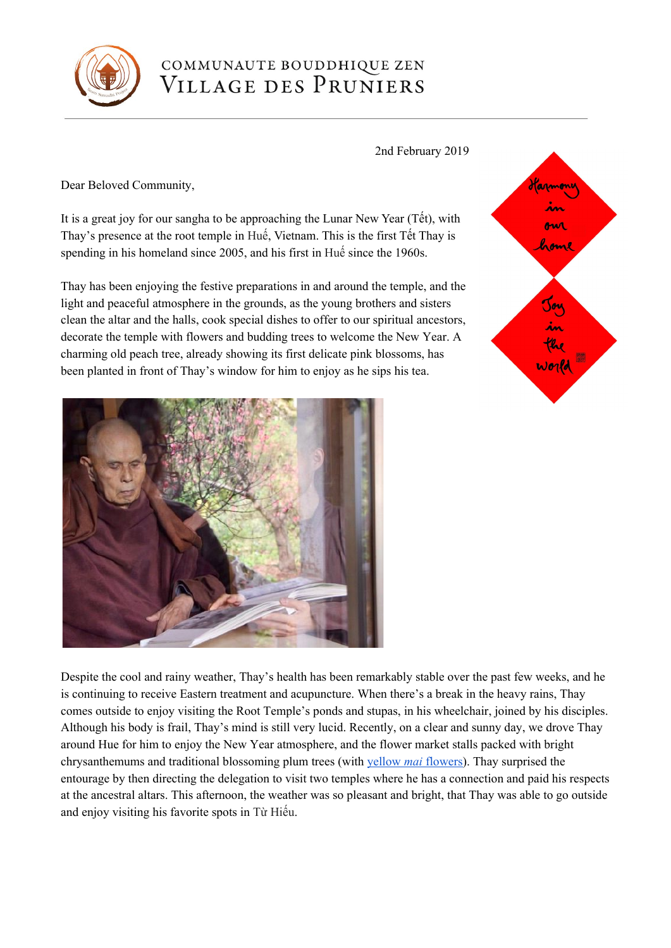

## COMMUNAUTE BOUDDHIQUE ZEN VILLAGE DES PRUNIERS

## 2nd February 2019

Dear Beloved Community,

It is a great joy for our sangha to be approaching the Lunar New Year (Tết), with Thay's presence at the root temple in Huế, Vietnam. This is the first Tết Thay is spending in his homeland since 2005, and his first in Huế since the 1960s.

Thay has been enjoying the festive preparations in and around the temple, and the light and peaceful atmosphere in the grounds, as the young brothers and sisters clean the altar and the halls, cook special dishes to offer to our spiritual ancestors, decorate the temple with flowers and budding trees to welcome the New Year. A charming old peach tree, already showing its first delicate pink blossoms, has been planted in front of Thay's window for him to enjoy as he sips his tea.



Despite the cool and rainy weather, Thay's health has been remarkably stable over the past few weeks, and he is continuing to receive Eastern treatment and acupuncture. When there's a break in the heavy rains, Thay comes outside to enjoy visiting the Root Temple's ponds and stupas, in his wheelchair, joined by his disciples. Although his body is frail, Thay's mind is still very lucid. Recently, on a clear and sunny day, we drove Thay around Hue for him to enjoy the New Year atmosphere, and the flower market stalls packed with bright chrysanthemums and traditional blossoming plum trees (with [yellow](https://en.wikipedia.org/wiki/Ochna_integerrima) *[mai](https://en.wikipedia.org/wiki/Ochna_integerrima)* [flowers](https://en.wikipedia.org/wiki/Ochna_integerrima)). Thay surprised the entourage by then directing the delegation to visit two temples where he has a connection and paid his respects at the ancestral altars. This afternoon, the weather was so pleasant and bright, that Thay was able to go outside and enjoy visiting his favorite spots in Từ Hiếu.

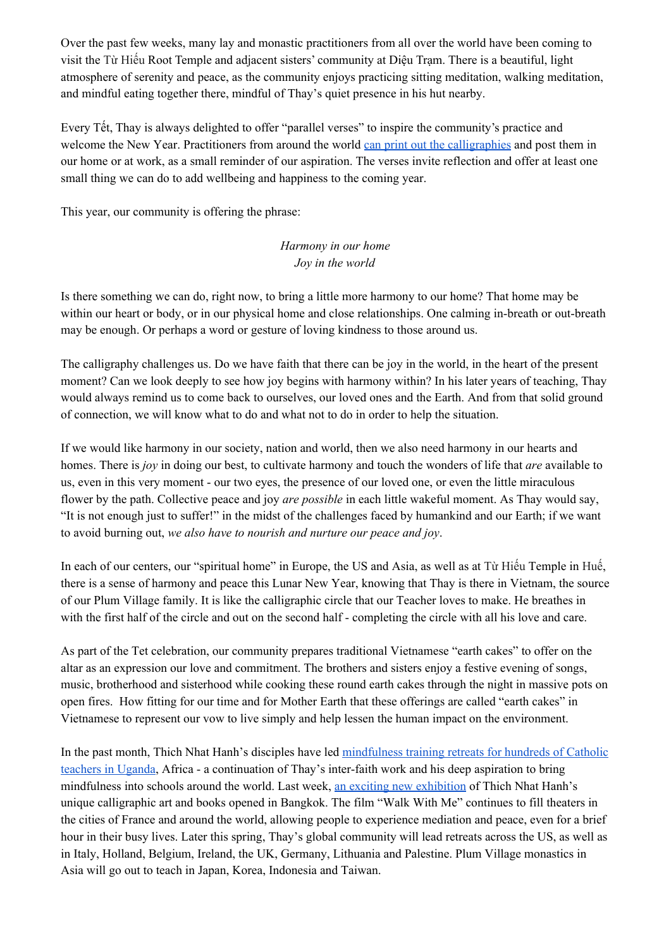Over the past few weeks, many lay and monastic practitioners from all over the world have been coming to visit the Từ Hiếu Root Temple and adjacent sisters' community at Diệu Trạm. There is a beautiful, light atmosphere of serenity and peace, as the community enjoys practicing sitting meditation, walking meditation, and mindful eating together there, mindful of Thay's quiet presence in his hut nearby.

Every Tết, Thay is always delighted to offer "parallel verses" to inspire the community's practice and welcome the New Year. Practitioners from around the world can print out the [calligraphies](https://plumvillage.org/news/2019-lunar-new-year-parallel-verses/) and post them in our home or at work, as a small reminder of our aspiration. The verses invite reflection and offer at least one small thing we can do to add wellbeing and happiness to the coming year.

This year, our community is offering the phrase:

## *Harmony in our home Joy in the world*

Is there something we can do, right now, to bring a little more harmony to our home? That home may be within our heart or body, or in our physical home and close relationships. One calming in-breath or out-breath may be enough. Or perhaps a word or gesture of loving kindness to those around us.

The calligraphy challenges us. Do we have faith that there can be joy in the world, in the heart of the present moment? Can we look deeply to see how joy begins with harmony within? In his later years of teaching, Thay would always remind us to come back to ourselves, our loved ones and the Earth. And from that solid ground of connection, we will know what to do and what not to do in order to help the situation.

If we would like harmony in our society, nation and world, then we also need harmony in our hearts and homes. There is *joy* in doing our best, to cultivate harmony and touch the wonders of life that *are* available to us, even in this very moment - our two eyes, the presence of our loved one, or even the little miraculous flower by the path. Collective peace and joy *are possible* in each little wakeful moment. As Thay would say, "It is not enough just to suffer!" in the midst of the challenges faced by humankind and our Earth; if we want to avoid burning out, *we also have to nourish and nurture our peace and joy*.

In each of our centers, our "spiritual home" in Europe, the US and Asia, as well as at Từ Hiếu Temple in Huế, there is a sense of harmony and peace this Lunar New Year, knowing that Thay is there in Vietnam, the source of our Plum Village family. It is like the calligraphic circle that our Teacher loves to make. He breathes in with the first half of the circle and out on the second half - completing the circle with all his love and care.

As part of the Tet celebration, our community prepares traditional Vietnamese "earth cakes" to offer on the altar as an expression our love and commitment. The brothers and sisters enjoy a festive evening of songs, music, brotherhood and sisterhood while cooking these round earth cakes through the night in massive pots on open fires. How fitting for our time and for Mother Earth that these offerings are called "earth cakes" in Vietnamese to represent our vow to live simply and help lessen the human impact on the environment.

In the past month, Thich Nhat Hanh's disciples have led [mindfulness](https://www.facebook.com/wouter.verhoeven.3/posts/10212783709457366?__xts__[0]=68.ARDBTw-A9bQECMNAlVC3VX9B_WiAUgGWPZMGk6U2vn84gt1SGHhwUTV71jju0y72P0m1GegV3sUdFISX87c-9iHFMjo0yHdkkXiBWrjbptjOk3PLjWmwaAPfjZho2TCD0SnfS50zUgdgCbsXjm73o_hecFxPLGRBgCeySTaYFbn05d8SdtPCMwUj8jDA5w_8tMFlX7q02x1HxzpcI7jb3Qk5nN2b3YgOipY4T58kC_OelU8N_SJpHwgZ8ENl_1fZgc7OMRpyk2RVZQfGtfRQCw4P7eeV59XcfhUkYUHrxLvcVCmuOfOZzrtk8FqRhUZ9Plg4UsbVPbrPdtb-WzRlH38RRQ&__tn__=C-R) training retreats for hundreds of Catholic [teachers](https://www.facebook.com/wouter.verhoeven.3/posts/10212783709457366?__xts__[0]=68.ARDBTw-A9bQECMNAlVC3VX9B_WiAUgGWPZMGk6U2vn84gt1SGHhwUTV71jju0y72P0m1GegV3sUdFISX87c-9iHFMjo0yHdkkXiBWrjbptjOk3PLjWmwaAPfjZho2TCD0SnfS50zUgdgCbsXjm73o_hecFxPLGRBgCeySTaYFbn05d8SdtPCMwUj8jDA5w_8tMFlX7q02x1HxzpcI7jb3Qk5nN2b3YgOipY4T58kC_OelU8N_SJpHwgZ8ENl_1fZgc7OMRpyk2RVZQfGtfRQCw4P7eeV59XcfhUkYUHrxLvcVCmuOfOZzrtk8FqRhUZ9Plg4UsbVPbrPdtb-WzRlH38RRQ&__tn__=C-R) in Uganda, Africa - a continuation of Thay's inter-faith work and his deep aspiration to bring mindfulness into schools around the world. Last week, an exciting new [exhibition](https://www.facebook.com/thichnhathanh/posts/10156324910349635?__xts__[0]=68.ARB8N0wFzMHUKLHAQrqbwTcJGsP0lG6Bl7EEmyDp_Mni_F3rEdCTUN48XC5H88HyRTVCVC9PfLlMW82k7IuKbk10Nyj8qeIA3nu2GDtDn5sMhVnwy7RCaRg8qe-Bzui2AFMh5bHwy7UcsiFQY7n9IfeV4roN3LrmOhL998JmstIT7cEoxcsU_p2WmeAL_b6hiiJTCuoKEbTmhh23_YPj3hQXF9kHQbcQjRDuj05uDjZzr8prRn_-X9VAQoLRj-B7LTCHzz_SBoEA5XhI_S82339V3oH8OVSLPsj88rXmcrsPlGj-RFDWDmjVaBckaPDCRV5ZI4slH-gnqEdTflsSh2_z-AQAi-fOrYEHa9YBeKTC1yJYvdWlUh9v4DZZw8j5ZCByoAo4dKUSaTNT8_3GiFNDpiqlfB4n-Kwd8iHA_kTS-510uw6eu6UIWEp1kU0XDVWfOxNC9Mf04Zl_GDRCtC3TXg7ISBNf4AqkACvHY2ND_nlkUxtE&__tn__=C-R) of Thich Nhat Hanh's unique calligraphic art and books opened in Bangkok. The film "Walk With Me" continues to fill theaters in the cities of France and around the world, allowing people to experience mediation and peace, even for a brief hour in their busy lives. Later this spring, Thay's global community will lead retreats across the US, as well as in Italy, Holland, Belgium, Ireland, the UK, Germany, Lithuania and Palestine. Plum Village monastics in Asia will go out to teach in Japan, Korea, Indonesia and Taiwan.